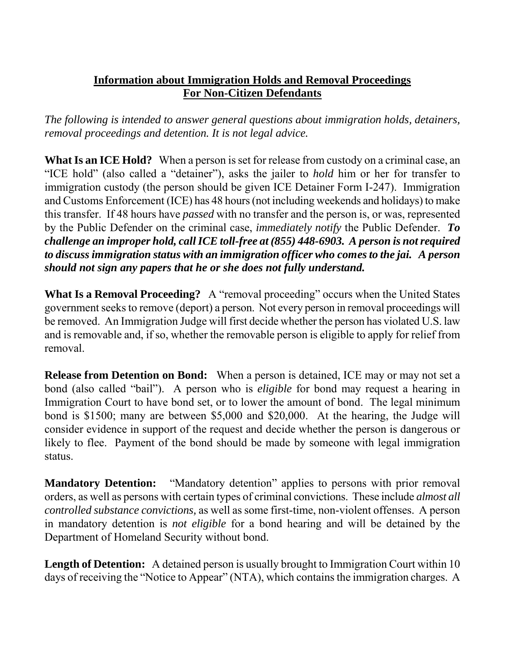## **Information about Immigration Holds and Removal Proceedings For Non-Citizen Defendants**

*The following is intended to answer general questions about immigration holds, detainers, removal proceedings and detention. It is not legal advice.* 

**What Is an ICE Hold?** When a person is set for release from custody on a criminal case, an "ICE hold" (also called a "detainer"), asks the jailer to *hold* him or her for transfer to immigration custody (the person should be given ICE Detainer Form I-247). Immigration and Customs Enforcement (ICE) has 48 hours (not including weekends and holidays) to make this transfer. If 48 hours have *passed* with no transfer and the person is, or was, represented by the Public Defender on the criminal case, *immediately notify* the Public Defender. *To challenge an improper hold, call ICE toll-free at (855) 448-6903. A person is not required to discuss immigration status with an immigration officer who comes to the jai. A person should not sign any papers that he or she does not fully understand.* 

**What Is a Removal Proceeding?** A "removal proceeding" occurs when the United States government seeks to remove (deport) a person. Not every person in removal proceedings will be removed. An Immigration Judge will first decide whether the person has violated U.S. law and is removable and, if so, whether the removable person is eligible to apply for relief from removal.

**Release from Detention on Bond:** When a person is detained, ICE may or may not set a bond (also called "bail"). A person who is *eligible* for bond may request a hearing in Immigration Court to have bond set, or to lower the amount of bond. The legal minimum bond is \$1500; many are between \$5,000 and \$20,000. At the hearing, the Judge will consider evidence in support of the request and decide whether the person is dangerous or likely to flee. Payment of the bond should be made by someone with legal immigration status.

**Mandatory Detention:** "Mandatory detention" applies to persons with prior removal orders, as well as persons with certain types of criminal convictions. These include *almost all controlled substance convictions,* as well as some first-time, non-violent offenses. A person in mandatory detention is *not eligible* for a bond hearing and will be detained by the Department of Homeland Security without bond.

**Length of Detention:** A detained person is usually brought to Immigration Court within 10 days of receiving the "Notice to Appear" (NTA), which contains the immigration charges. A